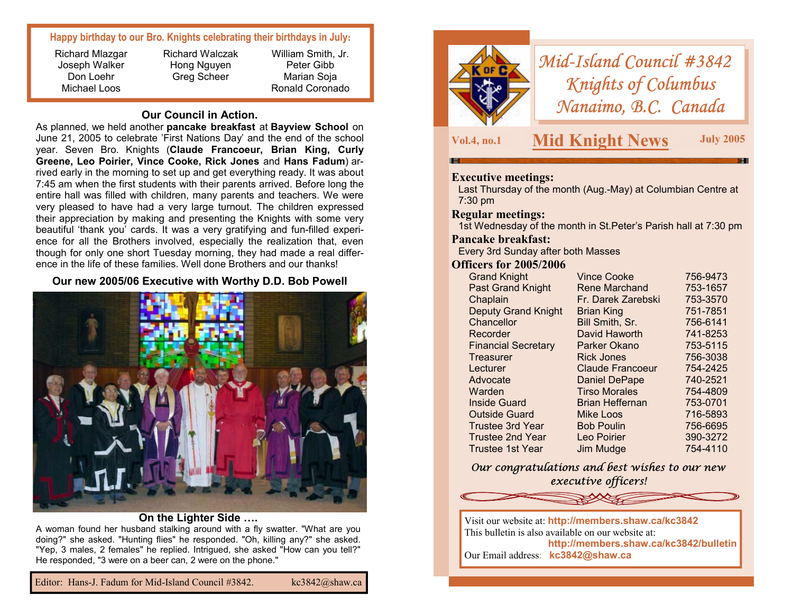#### **Happy birthday to our Bro. Knights celebrating their birthdays in July:**

Richard Mlazgar Joseph Walker Don Loehr Michael Loos

Richard Walczak Hong Nguyen Greg Scheer

William Smith, Jr. Peter Gibb Marian Soja Ronald Coronado

#### **Our Council in Action.**

As planned, we held another **pancake breakfast** at **Bayview School** on June 21, 2005 to celebrate 'First Nations Day' and the end of the school year. Seven Bro. Knights (**Claude Francoeur, Brian King, Curly Greene, Leo Poirier, Vince Cooke, Rick Jones** and **Hans Fadum**) arrived early in the morning to set up and get everything ready. It was about 7:45 am when the first students with their parents arrived. Before long the entire hall was filled with children, many parents and teachers. We were very pleased to have had a very large turnout. The children expressed their appreciation by making and presenting the Knights with some very beautiful 'thank you' cards. It was a very gratifying and fun-filled experience for all the Brothers involved, especially the realization that, even though for only one short Tuesday morning, they had made a real difference in the life of these families. Well done Brothers and our thanks!

## **Our new 2005/06 Executive with Worthy D.D. Bob Powell**



#### **On the Lighter Side ….**

A woman found her husband stalking around with a fly swatter. "What are you doing?" she asked. "Hunting flies" he responded. "Oh, killing any?" she asked. "Yep, 3 males, 2 females" he replied. Intrigued, she asked "How can you tell?" He responded, "3 were on a beer can, 2 were on the phone."



*Mid-Island Council #3842 Knights of Columbus Nanaimo, B.C. Canada* 

# **Vol.4, no.1 Mid Knight News July 2005**

## **Executive meetings:**

Last Thursday of the month (Aug.-May) at Columbian Centre at 7:30 pm

#### **Regular meetings:**

1st Wednesday of the month in St.Peter's Parish hall at 7:30 pm

#### **Pancake breakfast:**

Every 3rd Sunday after both Masses

#### **Officers for 2005/2006**

| <b>Vince Cooke</b>      | 756-9473 |
|-------------------------|----------|
| <b>Rene Marchand</b>    | 753-1657 |
| Fr. Darek Zarebski      | 753-3570 |
| <b>Brian King</b>       | 751-7851 |
| Bill Smith, Sr.         | 756-6141 |
| David Haworth           | 741-8253 |
| Parker Okano            | 753-5115 |
| <b>Rick Jones</b>       | 756-3038 |
| <b>Claude Francoeur</b> | 754-2425 |
| <b>Daniel DePape</b>    | 740-2521 |
| <b>Tirso Morales</b>    | 754-4809 |
| Brian Heffernan         | 753-0701 |
| Mike Loos               | 716-5893 |
| <b>Bob Poulin</b>       | 756-6695 |
| Leo Poirier             | 390-3272 |
| Jim Mudge               | 754-4110 |
|                         |          |

*Our congratulations and best wishes to our new executive officers!* 



**http://members.shaw.ca/kc3842/bulletin**  Our Email address: **kc3842@shaw.ca**